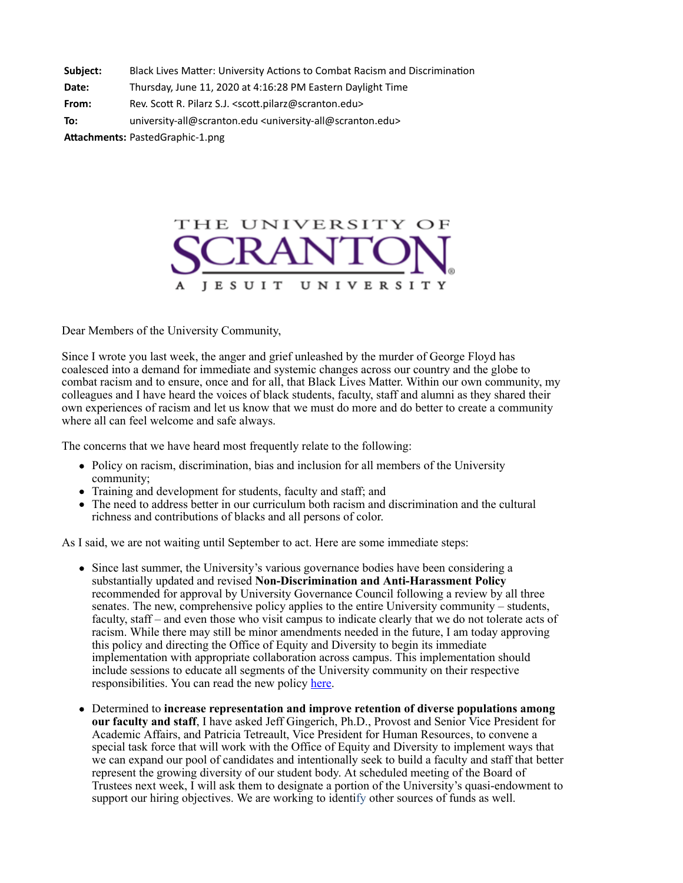| Subject: | Black Lives Matter: University Actions to Combat Racism and Discrimination |
|----------|----------------------------------------------------------------------------|
|----------|----------------------------------------------------------------------------|

**Date:** Thursday, June 11, 2020 at 4:16:28 PM Eastern Daylight Time

**From:** Rev. Scott R. Pilarz S.J. <scott.pilarz@scranton.edu>

**To:** university-all@scranton.edu <university-all@scranton.edu>

Attachments: PastedGraphic-1.png



Dear Members of the University Community,

Since I wrote you last week, the anger and grief unleashed by the murder of George Floyd has coalesced into a demand for immediate and systemic changes across our country and the globe to combat racism and to ensure, once and for all, that Black Lives Matter. Within our own community, my colleagues and I have heard the voices of black students, faculty, staff and alumni as they shared their own experiences of racism and let us know that we must do more and do better to create a community where all can feel welcome and safe always.

The concerns that we have heard most frequently relate to the following:

- Policy on racism, discrimination, bias and inclusion for all members of the University community;
- Training and development for students, faculty and staff; and
- The need to address better in our curriculum both racism and discrimination and the cultural richness and contributions of blacks and all persons of color.

As I said, we are not waiting until September to act. Here are some immediate steps:

- Since last summer, the University's various governance bodies have been considering a substantially updated and revised **Non-Discrimination and Anti-Harassment Policy** recommended for approval by University Governance Council following a review by all three senates. The new, comprehensive policy applies to the entire University community – students, faculty, staff – and even those who visit campus to indicate clearly that we do not tolerate acts of racism. While there may still be minor amendments needed in the future, I am today approving this policy and directing the Office of Equity and Diversity to begin its immediate implementation with appropriate collaboration across campus. This implementation should include sessions to educate all segments of the University community on their respective responsibilities. You can read the new policy [here](https://www.scranton.edu/equity-diversity/docs/nondiscrimination-antiharassment-policy.pdf).
- Determined to **increase representation and improve retention of diverse populations among our faculty and staff**, I have asked Jeff Gingerich, Ph.D., Provost and Senior Vice President for Academic Affairs, and Patricia Tetreault, Vice President for Human Resources, to convene a special task force that will work with the Office of Equity and Diversity to implement ways that we can expand our pool of candidates and intentionally seek to build a faculty and staff that better represent the growing diversity of our student body. At scheduled meeting of the Board of Trustees next week, I will ask them to designate a portion of the University's quasi-endowment to support our hiring objectives. We are working to identify other sources of funds as well.